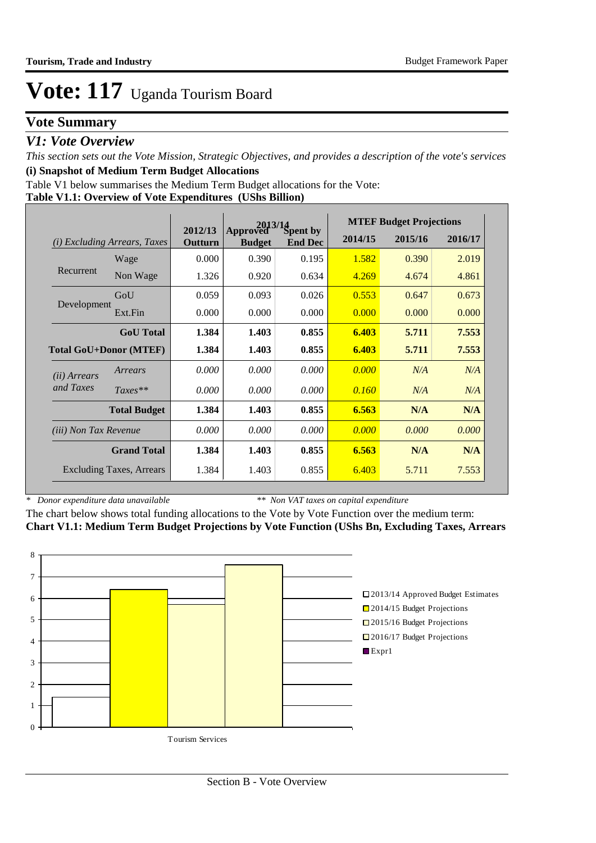# **Vote Summary**

## *V1: Vote Overview*

*This section sets out the Vote Mission, Strategic Objectives, and provides a description of the vote's services* **(i) Snapshot of Medium Term Budget Allocations** 

Table V1 below summarises the Medium Term Budget allocations for the Vote:

### **Table V1.1: Overview of Vote Expenditures (UShs Billion)**

|                               |                                 |                    |                           | $2013/14$<br>yed Spent by |         | <b>MTEF Budget Projections</b> |         |
|-------------------------------|---------------------------------|--------------------|---------------------------|---------------------------|---------|--------------------------------|---------|
| (i)                           | <i>Excluding Arrears, Taxes</i> | 2012/13<br>Outturn | Approved<br><b>Budget</b> | <b>End Dec</b>            | 2014/15 | 2015/16                        | 2016/17 |
|                               | Wage                            | 0.000              | 0.390                     | 0.195                     | 1.582   | 0.390                          | 2.019   |
| Recurrent                     | Non Wage                        | 1.326              | 0.920                     | 0.634                     | 4.269   | 4.674                          | 4.861   |
|                               | GoU                             | 0.059              | 0.093                     | 0.026                     | 0.553   | 0.647                          | 0.673   |
| Development                   | Ext.Fin                         | 0.000              | 0.000                     | 0.000                     | 0.000   | 0.000                          | 0.000   |
|                               | <b>GoU</b> Total                | 1.384              | 1.403                     | 0.855                     | 6.403   | 5.711                          | 7.553   |
| <b>Total GoU+Donor (MTEF)</b> |                                 | 1.384              | 1.403                     | 0.855                     | 6.403   | 5.711                          | 7.553   |
| ( <i>ii</i> ) Arrears         | Arrears                         | 0.000              | 0.000                     | 0.000                     | 0.000   | N/A                            | N/A     |
| and Taxes                     | $Taxes**$                       | 0.000              | 0.000                     | 0.000                     | 0.160   | N/A                            | N/A     |
|                               | <b>Total Budget</b>             | 1.384              | 1.403                     | 0.855                     | 6.563   | N/A                            | N/A     |
| <i>(iii)</i> Non Tax Revenue  |                                 | 0.000              | 0.000                     | 0.000                     | 0.000   | 0.000                          | 0.000   |
|                               | <b>Grand Total</b>              | 1.384              | 1.403                     | 0.855                     | 6.563   | N/A                            | N/A     |
|                               | <b>Excluding Taxes, Arrears</b> | 1.384              | 1.403                     | 0.855                     | 6.403   | 5.711                          | 7.553   |

*\* Donor expenditure data unavailable*

*\*\* Non VAT taxes on capital expenditure*

The chart below shows total funding allocations to the Vote by Vote Function over the medium term: **Chart V1.1: Medium Term Budget Projections by Vote Function (UShs Bn, Excluding Taxes, Arrears**

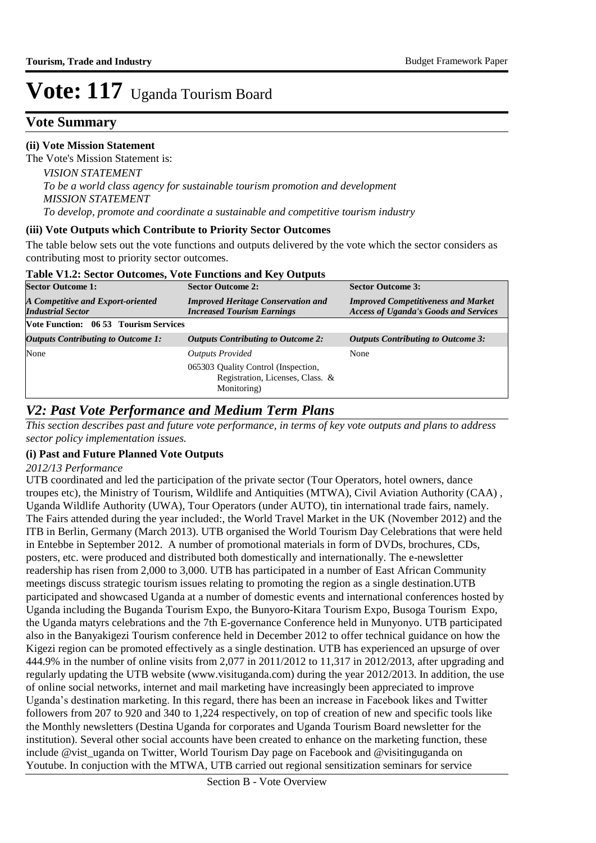# **Vote Summary**

### **(ii) Vote Mission Statement**

The Vote's Mission Statement is:

*VISION STATEMENT To be a world class agency for sustainable tourism promotion and development MISSION STATEMENT To develop, promote and coordinate a sustainable and competitive tourism industry*

#### **(iii) Vote Outputs which Contribute to Priority Sector Outcomes**

The table below sets out the vote functions and outputs delivered by the vote which the sector considers as contributing most to priority sector outcomes.

| Table V1.2: Sector Outcomes, Vote Functions and Key Outputs |  |  |
|-------------------------------------------------------------|--|--|
|-------------------------------------------------------------|--|--|

| <b>Sector Outcome 1:</b>                                      | <b>Sector Outcome 2:</b>                                                               | <b>Sector Outcome 3:</b>                                                                   |  |  |
|---------------------------------------------------------------|----------------------------------------------------------------------------------------|--------------------------------------------------------------------------------------------|--|--|
| A Competitive and Export-oriented<br><b>Industrial Sector</b> | <b>Improved Heritage Conservation and</b><br><b>Increased Tourism Earnings</b>         | <b>Improved Competitiveness and Market</b><br><b>Access of Uganda's Goods and Services</b> |  |  |
| <b>Vote Function: 06 53 Tourism Services</b>                  |                                                                                        |                                                                                            |  |  |
| <b>Outputs Contributing to Outcome 1:</b>                     | <b>Outputs Contributing to Outcome 2:</b>                                              | <i>Outputs Contributing to Outcome 3:</i>                                                  |  |  |
| None                                                          | <b>Outputs Provided</b>                                                                | None                                                                                       |  |  |
|                                                               | 065303 Quality Control (Inspection,<br>Registration, Licenses, Class. &<br>Monitoring) |                                                                                            |  |  |

## *V2: Past Vote Performance and Medium Term Plans*

*This section describes past and future vote performance, in terms of key vote outputs and plans to address sector policy implementation issues.* 

### **(i) Past and Future Planned Vote Outputs**

### *2012/13 Performance*

UTB coordinated and led the participation of the private sector (Tour Operators, hotel owners, dance troupes etc), the Ministry of Tourism, Wildlife and Antiquities (MTWA), Civil Aviation Authority (CAA) , Uganda Wildlife Authority (UWA), Tour Operators (under AUTO), tin international trade fairs, namely. The Fairs attended during the year included:, the World Travel Market in the UK (November 2012) and the ITB in Berlin, Germany (March 2013). UTB organised the World Tourism Day Celebrations that were held in Entebbe in September 2012. A number of promotional materials in form of DVDs, brochures, CDs, posters, etc. were produced and distributed both domestically and internationally. The e-newsletter readership has risen from 2,000 to 3,000. UTB has participated in a number of East African Community meetings discuss strategic tourism issues relating to promoting the region as a single destination.UTB participated and showcased Uganda at a number of domestic events and international conferences hosted by Uganda including the Buganda Tourism Expo, the Bunyoro-Kitara Tourism Expo, Busoga Tourism Expo, the Uganda matyrs celebrations and the 7th E-governance Conference held in Munyonyo. UTB participated also in the Banyakigezi Tourism conference held in December 2012 to offer technical guidance on how the Kigezi region can be promoted effectively as a single destination. UTB has experienced an upsurge of over 444.9% in the number of online visits from 2,077 in 2011/2012 to 11,317 in 2012/2013, after upgrading and regularly updating the UTB website (www.visituganda.com) during the year 2012/2013. In addition, the use of online social networks, internet and mail marketing have increasingly been appreciated to improve Uganda's destination marketing. In this regard, there has been an increase in Facebook likes and Twitter followers from 207 to 920 and 340 to 1,224 respectively, on top of creation of new and specific tools like the Monthly newsletters (Destina Uganda for corporates and Uganda Tourism Board newsletter for the institution). Several other social accounts have been created to enhance on the marketing function, these include @vist\_uganda on Twitter, World Tourism Day page on Facebook and @visitinguganda on Youtube. In conjuction with the MTWA, UTB carried out regional sensitization seminars for service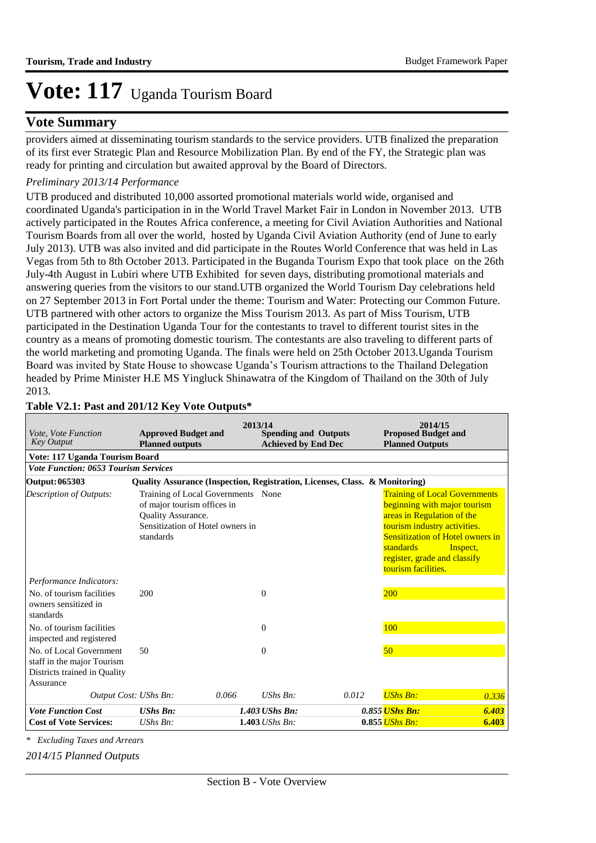## **Vote Summary**

providers aimed at disseminating tourism standards to the service providers. UTB finalized the preparation of its first ever Strategic Plan and Resource Mobilization Plan. By end of the FY, the Strategic plan was ready for printing and circulation but awaited approval by the Board of Directors.

## *Preliminary 2013/14 Performance*

UTB produced and distributed 10,000 assorted promotional materials world wide, organised and coordinated Uganda's participation in in the World Travel Market Fair in London in November 2013. UTB actively participated in the Routes Africa conference, a meeting for Civil Aviation Authorities and National Tourism Boards from all over the world, hosted by Uganda Civil Aviation Authority (end of June to early July 2013). UTB was also invited and did participate in the Routes World Conference that was held in Las Vegas from 5th to 8th October 2013. Participated in the Buganda Tourism Expo that took place on the 26th July-4th August in Lubiri where UTB Exhibited for seven days, distributing promotional materials and answering queries from the visitors to our stand.UTB organized the World Tourism Day celebrations held on 27 September 2013 in Fort Portal under the theme: Tourism and Water: Protecting our Common Future. UTB partnered with other actors to organize the Miss Tourism 2013. As part of Miss Tourism, UTB participated in the Destination Uganda Tour for the contestants to travel to different tourist sites in the country as a means of promoting domestic tourism. The contestants are also traveling to different parts of the world marketing and promoting Uganda. The finals were held on 25th October 2013.Uganda Tourism Board was invited by State House to showcase Uganda's Tourism attractions to the Thailand Delegation headed by Prime Minister H.E MS Yingluck Shinawatra of the Kingdom of Thailand on the 30th of July 2013.

| Vote, Vote Function<br><b>Key Output</b>                                                           | <b>Approved Budget and</b><br><b>Planned outputs</b>                                                                                     | 2013/14 | <b>Spending and Outputs</b><br><b>Achieved by End Dec</b> |       | 2014/15<br><b>Proposed Budget and</b><br><b>Planned Outputs</b>                                                                                                                                                                                   |                |
|----------------------------------------------------------------------------------------------------|------------------------------------------------------------------------------------------------------------------------------------------|---------|-----------------------------------------------------------|-------|---------------------------------------------------------------------------------------------------------------------------------------------------------------------------------------------------------------------------------------------------|----------------|
| Vote: 117 Uganda Tourism Board                                                                     |                                                                                                                                          |         |                                                           |       |                                                                                                                                                                                                                                                   |                |
| <b>Vote Function: 0653 Tourism Services</b>                                                        |                                                                                                                                          |         |                                                           |       |                                                                                                                                                                                                                                                   |                |
| Output: 065303                                                                                     | Quality Assurance (Inspection, Registration, Licenses, Class. & Monitoring)                                                              |         |                                                           |       |                                                                                                                                                                                                                                                   |                |
| Description of Outputs:                                                                            | Training of Local Governments None<br>of major tourism offices in<br>Quality Assurance.<br>Sensitization of Hotel owners in<br>standards |         |                                                           |       | <b>Training of Local Governments</b><br>beginning with major tourism<br>areas in Regulation of the<br>tourism industry activities.<br><b>Sensitization of Hotel owners in</b><br>standards<br>register, grade and classify<br>tourism facilities. | Inspect,       |
| Performance Indicators:                                                                            |                                                                                                                                          |         |                                                           |       |                                                                                                                                                                                                                                                   |                |
| No. of tourism facilities<br>owners sensitized in<br>standards                                     | 200                                                                                                                                      |         | $\Omega$                                                  |       | <b>200</b>                                                                                                                                                                                                                                        |                |
| No. of tourism facilities<br>inspected and registered                                              |                                                                                                                                          |         | $\Omega$                                                  |       | 100                                                                                                                                                                                                                                               |                |
| No. of Local Government<br>staff in the major Tourism<br>Districts trained in Quality<br>Assurance | 50                                                                                                                                       |         | $\Omega$                                                  |       | 50                                                                                                                                                                                                                                                |                |
| Output Cost: UShs Bn:                                                                              |                                                                                                                                          | 0.066   | $UShs$ $Bn$ :                                             | 0.012 | <b>UShs Bn:</b>                                                                                                                                                                                                                                   | 0.336          |
| <b>Vote Function Cost</b><br><b>Cost of Vote Services:</b>                                         | <b>UShs Bn:</b><br>$UShs Bn$ :                                                                                                           |         | 1.403 UShs Bn:<br>1.403 <i>UShs Bn</i> :                  |       | 0.855 <i>UShs Bn:</i><br>$0.855$ UShs Bn:                                                                                                                                                                                                         | 6.403<br>6.403 |

## **Table V2.1: Past and 201/12 Key Vote Outputs\***

*\* Excluding Taxes and Arrears*

*2014/15 Planned Outputs*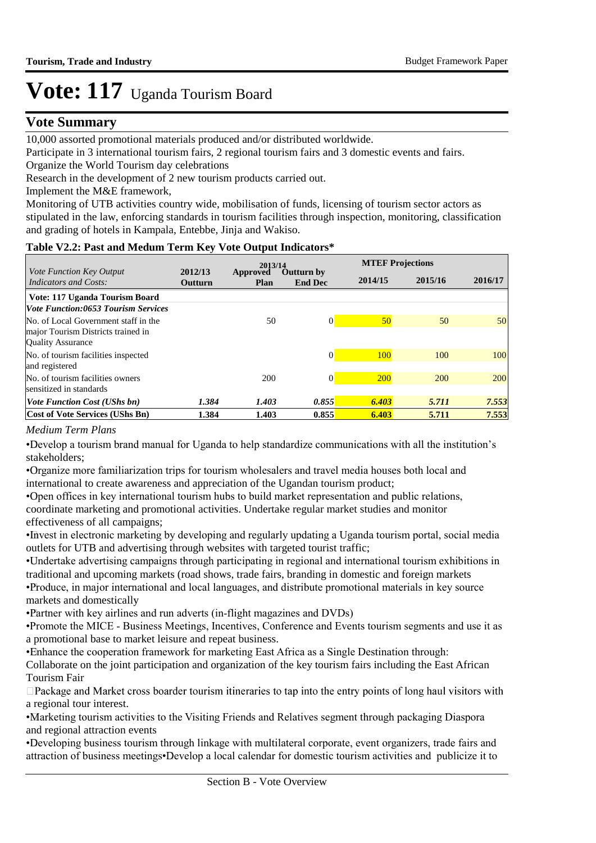## **Vote Summary**

10,000 assorted promotional materials produced and/or distributed worldwide.

Participate in 3 international tourism fairs, 2 regional tourism fairs and 3 domestic events and fairs.

Organize the World Tourism day celebrations

Research in the development of 2 new tourism products carried out.

Implement the M&E framework,

Monitoring of UTB activities country wide, mobilisation of funds, licensing of tourism sector actors as stipulated in the law, enforcing standards in tourism facilities through inspection, monitoring, classification and grading of hotels in Kampala, Entebbe, Jinja and Wakiso.

## **Table V2.2: Past and Medum Term Key Vote Output Indicators\***

|                                                                                                        |                    | 2013/14          |                              |                 | <b>MTEF Projections</b> |         |
|--------------------------------------------------------------------------------------------------------|--------------------|------------------|------------------------------|-----------------|-------------------------|---------|
| Vote Function Key Output<br>Indicators and Costs:                                                      | 2012/13<br>Outturn | Approved<br>Plan | Outturn by<br><b>End Dec</b> | 2014/15         | 2015/16                 | 2016/17 |
| Vote: 117 Uganda Tourism Board                                                                         |                    |                  |                              |                 |                         |         |
| <b>Vote Function:0653 Tourism Services</b>                                                             |                    |                  |                              |                 |                         |         |
| No. of Local Government staff in the<br>major Tourism Districts trained in<br><b>Quality Assurance</b> |                    | 50               | $\Omega$                     | 50 <sub>0</sub> | 50                      | 50      |
| No. of tourism facilities inspected<br>and registered                                                  |                    |                  | 0                            | 100             | 100                     | 100     |
| No. of tourism facilities owners<br>sensitized in standards                                            |                    | 200              | $\Omega$                     | <b>200</b>      | 200                     | 200     |
| <i>Vote Function Cost (UShs bn)</i>                                                                    | 1.384              | 1.403            | 0.855                        | 6.403           | 5.711                   | 7.553   |
| <b>Cost of Vote Services (UShs Bn)</b>                                                                 | 1.384              | 1.403            | 0.855                        | 6.403           | 5.711                   | 7.553   |

## *Medium Term Plans*

• Develop a tourism brand manual for Uganda to help standardize communications with all the institution's stakeholders;

• Organize more familiarization trips for tourism wholesalers and travel media houses both local and international to create awareness and appreciation of the Ugandan tourism product;

• Open offices in key international tourism hubs to build market representation and public relations, coordinate marketing and promotional activities. Undertake regular market studies and monitor effectiveness of all campaigns;

• Invest in electronic marketing by developing and regularly updating a Uganda tourism portal, social media outlets for UTB and advertising through websites with targeted tourist traffic;

• Undertake advertising campaigns through participating in regional and international tourism exhibitions in traditional and upcoming markets (road shows, trade fairs, branding in domestic and foreign markets

• Produce, in major international and local languages, and distribute promotional materials in key source markets and domestically

• Partner with key airlines and run adverts (in-flight magazines and DVDs)

•Promote the MICE - Business Meetings, Incentives, Conference and Events tourism segments and use it as a promotional base to market leisure and repeat business.

• Enhance the cooperation framework for marketing East Africa as a Single Destination through:

 Collaborate on the joint participation and organization of the key tourism fairs including the East African Tourism Fair

 $\Box$ Package and Market cross boarder tourism itineraries to tap into the entry points of long haul visitors with a regional tour interest.

• Marketing tourism activities to the Visiting Friends and Relatives segment through packaging Diaspora and regional attraction events

• Developing business tourism through linkage with multilateral corporate, event organizers, trade fairs and attraction of business meetings• Develop a local calendar for domestic tourism activities and publicize it to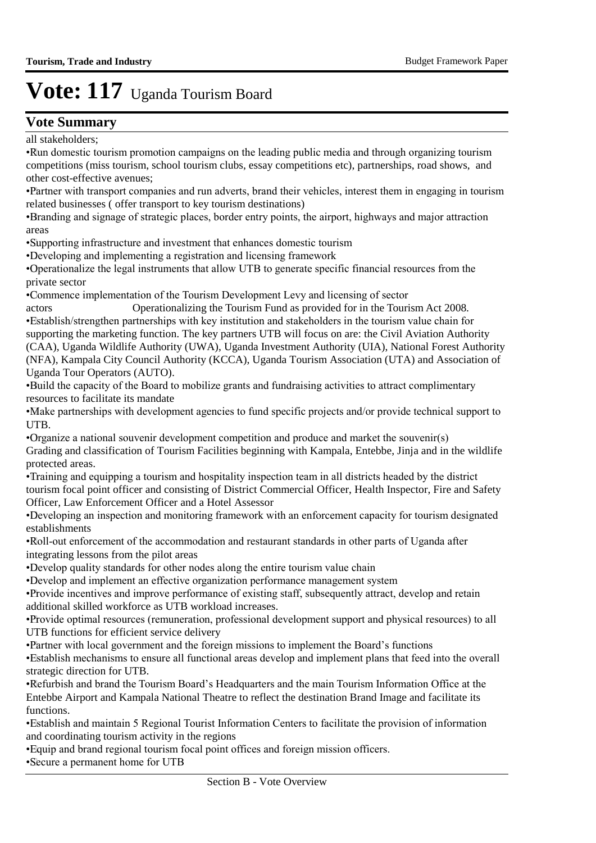## **Vote Summary**

all stakeholders;

• Run domestic tourism promotion campaigns on the leading public media and through organizing tourism competitions (miss tourism, school tourism clubs, essay competitions etc), partnerships, road shows, and other cost-effective avenues;

• Partner with transport companies and run adverts, brand their vehicles, interest them in engaging in tourism related businesses ( offer transport to key tourism destinations)

•Branding and signage of strategic places, border entry points, the airport, highways and major attraction areas

• Supporting infrastructure and investment that enhances domestic tourism

• Developing and implementing a registration and licensing framework

• Operationalize the legal instruments that allow UTB to generate specific financial resources from the private sector

• Commence implementation of the Tourism Development Levy and licensing of sector

actors Operationalizing the Tourism Fund as provided for in the Tourism Act 2008. • Establish/strengthen partnerships with key institution and stakeholders in the tourism value chain for supporting the marketing function. The key partners UTB will focus on are: the Civil Aviation Authority (CAA), Uganda Wildlife Authority (UWA), Uganda Investment Authority (UIA), National Forest Authority (NFA), Kampala City Council Authority (KCCA), Uganda Tourism Association (UTA) and Association of Uganda Tour Operators (AUTO).

• Build the capacity of the Board to mobilize grants and fundraising activities to attract complimentary resources to facilitate its mandate

• Make partnerships with development agencies to fund specific projects and/or provide technical support to UTB.

• Organize a national souvenir development competition and produce and market the souvenir(s) Grading and classification of Tourism Facilities beginning with Kampala, Entebbe, Jinja and in the wildlife protected areas.

• Training and equipping a tourism and hospitality inspection team in all districts headed by the district tourism focal point officer and consisting of District Commercial Officer, Health Inspector, Fire and Safety Officer, Law Enforcement Officer and a Hotel Assessor

• Developing an inspection and monitoring framework with an enforcement capacity for tourism designated establishments

• Roll-out enforcement of the accommodation and restaurant standards in other parts of Uganda after integrating lessons from the pilot areas

• Develop quality standards for other nodes along the entire tourism value chain

• Develop and implement an effective organization performance management system

• Provide incentives and improve performance of existing staff, subsequently attract, develop and retain additional skilled workforce as UTB workload increases.

• Provide optimal resources (remuneration, professional development support and physical resources) to all UTB functions for efficient service delivery

• Partner with local government and the foreign missions to implement the Board's functions

• Establish mechanisms to ensure all functional areas develop and implement plans that feed into the overall strategic direction for UTB.

• Refurbish and brand the Tourism Board's Headquarters and the main Tourism Information Office at the Entebbe Airport and Kampala National Theatre to reflect the destination Brand Image and facilitate its functions.

• Establish and maintain 5 Regional Tourist Information Centers to facilitate the provision of information and coordinating tourism activity in the regions

• Equip and brand regional tourism focal point offices and foreign mission officers.

• Secure a permanent home for UTB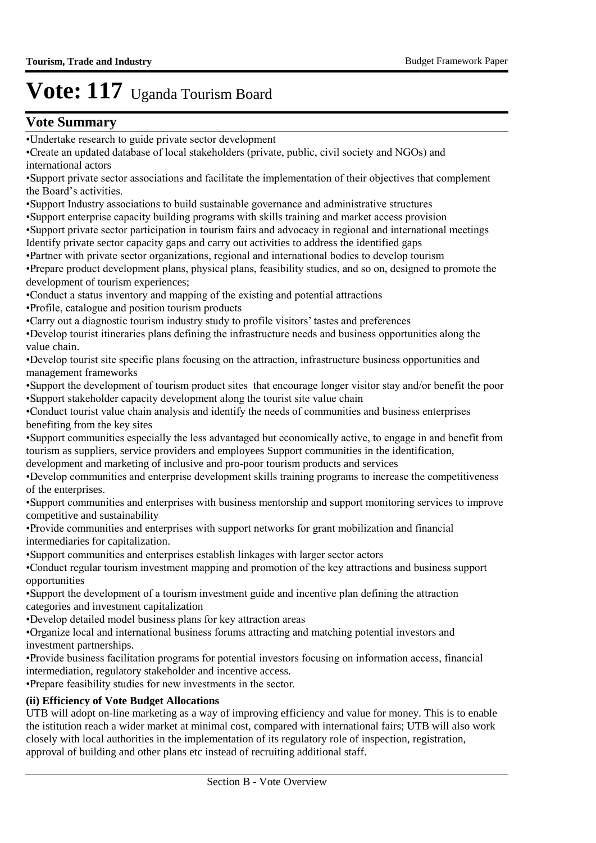## **Vote Summary**

- • Support Industry associations to build sustainable governance and administrative structures
- • Support enterprise capacity building programs with skills training and market access provision
- • Support private sector participation in tourism fairs and advocacy in regional and international meetings Identify private sector capacity gaps and carry out activities to address the identified gaps
- • Partner with private sector organizations, regional and international bodies to develop tourism
- Prepare product development plans, physical plans, feasibility studies, and so on, designed to promote the development of tourism experiences;
- • Conduct a status inventory and mapping of the existing and potential attractions
- • Profile, catalogue and position tourism products
- • Carry out a diagnostic tourism industry study to profile visitors' tastes and preferences
- • Develop tourist itineraries plans defining the infrastructure needs and business opportunities along the value chain.
- • Develop tourist site specific plans focusing on the attraction, infrastructure business opportunities and management frameworks
- • Support the development of tourism product sites that encourage longer visitor stay and/or benefit the poor • Support stakeholder capacity development along the tourist site value chain
- • Conduct tourist value chain analysis and identify the needs of communities and business enterprises benefiting from the key sites
- Support communities especially the less advantaged but economically active, to engage in and benefit from tourism as suppliers, service providers and employees Support communities in the identification,
- development and marketing of inclusive and pro-poor tourism products and services
- • Develop communities and enterprise development skills training programs to increase the competitiveness of the enterprises.
- Support communities and enterprises with business mentorship and support monitoring services to improve competitive and sustainability
- • Provide communities and enterprises with support networks for grant mobilization and financial intermediaries for capitalization.
- • Support communities and enterprises establish linkages with larger sector actors
- • Conduct regular tourism investment mapping and promotion of the key attractions and business support opportunities
- • Support the development of a tourism investment guide and incentive plan defining the attraction categories and investment capitalization
- • Develop detailed model business plans for key attraction areas
- • Organize local and international business forums attracting and matching potential investors and investment partnerships.
- • Provide business facilitation programs for potential investors focusing on information access, financial intermediation, regulatory stakeholder and incentive access.
- • Prepare feasibility studies for new investments in the sector.

### **(ii) Efficiency of Vote Budget Allocations**

UTB will adopt on-line marketing as a way of improving efficiency and value for money. This is to enable the istitution reach a wider market at minimal cost, compared with international fairs; UTB will also work closely with local authorities in the implementation of its regulatory role of inspection, registration, approval of building and other plans etc instead of recruiting additional staff.

<sup>•</sup> Undertake research to guide private sector development

<sup>•</sup> Create an updated database of local stakeholders (private, public, civil society and NGOs) and international actors

<sup>•</sup> Support private sector associations and facilitate the implementation of their objectives that complement the Board's activities.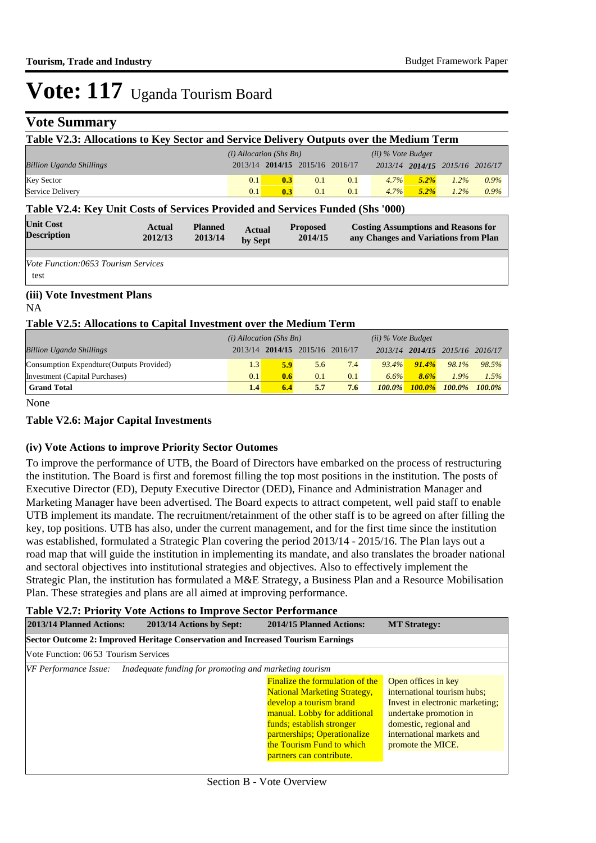# **Vote Summary**

| Table V2.3: Allocations to Key Sector and Service Delivery Outputs over the Medium Term                                                                                                                                                                                                                                           |  |  |                           |                                 |     |     |                      |                                 |         |      |
|-----------------------------------------------------------------------------------------------------------------------------------------------------------------------------------------------------------------------------------------------------------------------------------------------------------------------------------|--|--|---------------------------|---------------------------------|-----|-----|----------------------|---------------------------------|---------|------|
|                                                                                                                                                                                                                                                                                                                                   |  |  | $(i)$ Allocation (Shs Bn) |                                 |     |     | $(ii)$ % Vote Budget |                                 |         |      |
| <b>Billion Uganda Shillings</b>                                                                                                                                                                                                                                                                                                   |  |  |                           | 2013/14 2014/15 2015/16 2016/17 |     |     |                      | 2013/14 2014/15 2015/16 2016/17 |         |      |
| <b>Key Sector</b>                                                                                                                                                                                                                                                                                                                 |  |  | 0.1                       | 0.3                             | 0.1 | 0.1 | 4.7%                 | $5.2\%$                         | $1.2\%$ | 0.9% |
| Service Delivery                                                                                                                                                                                                                                                                                                                  |  |  | 0.1                       | 0.3                             | 0.1 | 0.1 | $4.7\%$              | $5.2\%$                         | $1.2\%$ | 0.9% |
| Table V2.4: Key Unit Costs of Services Provided and Services Funded (Shs '000)<br><b>Unit Cost</b><br><b>Planned</b><br><b>Proposed</b><br><b>Costing Assumptions and Reasons for</b><br><b>Actual</b><br><b>Actual</b><br><b>Description</b><br>2014/15<br>2012/13<br>2013/14<br>any Changes and Variations from Plan<br>by Sept |  |  |                           |                                 |     |     |                      |                                 |         |      |
| <i>Vote Function:0653 Tourism Services</i><br>test                                                                                                                                                                                                                                                                                |  |  |                           |                                 |     |     |                      |                                 |         |      |
| (iii) Vote Investment Plans<br>NA                                                                                                                                                                                                                                                                                                 |  |  |                           |                                 |     |     |                      |                                 |         |      |

#### **Table V2.5: Allocations to Capital Investment over the Medium Term**

|                                           | $(i)$ Allocation (Shs Bn) |     |                                 |     | $(ii)$ % Vote Budget |           |                                 |           |
|-------------------------------------------|---------------------------|-----|---------------------------------|-----|----------------------|-----------|---------------------------------|-----------|
| <b>Billion Uganda Shillings</b>           |                           |     | 2013/14 2014/15 2015/16 2016/17 |     |                      |           | 2013/14 2014/15 2015/16 2016/17 |           |
| Consumption Expendture (Outputs Provided) | 1.3                       | 5.9 | 5.6                             | 7.4 | $93.4\%$             | $91.4\%$  | 98.1%                           | 98.5%     |
| Investment (Capital Purchases)            | 0.1                       | 0.6 | 0.1                             | 0.1 | 6.6%                 | 8.6%      | 1.9%                            | 1.5%      |
| <b>Grand Total</b>                        | 1.4                       | 6.4 | 5.7                             | 7.6 | $100.0\%$            | $100.0\%$ | $100.0\%$                       | $100.0\%$ |

None

#### **Table V2.6: Major Capital Investments**

#### **(iv) Vote Actions to improve Priority Sector Outomes**

To improve the performance of UTB, the Board of Directors have embarked on the process of restructuring the institution. The Board is first and foremost filling the top most positions in the institution. The posts of Executive Director (ED), Deputy Executive Director (DED), Finance and Administration Manager and Marketing Manager have been advertised. The Board expects to attract competent, well paid staff to enable UTB implement its mandate. The recruitment/retainment of the other staff is to be agreed on after filling the key, top positions. UTB has also, under the current management, and for the first time since the institution was established, formulated a Strategic Plan covering the period 2013/14 - 2015/16. The Plan lays out a road map that will guide the institution in implementing its mandate, and also translates the broader national and sectoral objectives into institutional strategies and objectives. Also to effectively implement the Strategic Plan, the institution has formulated a M&E Strategy, a Business Plan and a Resource Mobilisation Plan. These strategies and plans are all aimed at improving performance.

#### **Table V2.7: Priority Vote Actions to Improve Sector Performance**

| 2013/14 Planned Actions:                                                        | 2013/14 Actions by Sept:                               | 2014/15 Planned Actions:                                                                                                                                                                                                                                       | <b>MT Strategy:</b>                                                                                                                                                                         |  |  |  |  |  |  |
|---------------------------------------------------------------------------------|--------------------------------------------------------|----------------------------------------------------------------------------------------------------------------------------------------------------------------------------------------------------------------------------------------------------------------|---------------------------------------------------------------------------------------------------------------------------------------------------------------------------------------------|--|--|--|--|--|--|
| Sector Outcome 2: Improved Heritage Conservation and Increased Tourism Earnings |                                                        |                                                                                                                                                                                                                                                                |                                                                                                                                                                                             |  |  |  |  |  |  |
| Vote Function: 06 53 Tourism Services                                           |                                                        |                                                                                                                                                                                                                                                                |                                                                                                                                                                                             |  |  |  |  |  |  |
| VF Performance Issue:                                                           | Inadequate funding for promoting and marketing tourism |                                                                                                                                                                                                                                                                |                                                                                                                                                                                             |  |  |  |  |  |  |
|                                                                                 |                                                        | <b>Finalize the formulation of the</b><br><b>National Marketing Strategy,</b><br>develop a tourism brand<br>manual. Lobby for additional<br>funds; establish stronger<br>partnerships; Operationalize<br>the Tourism Fund to which<br>partners can contribute. | Open offices in key<br>international tourism hubs;<br>Invest in electronic marketing:<br>undertake promotion in<br>domestic, regional and<br>international markets and<br>promote the MICE. |  |  |  |  |  |  |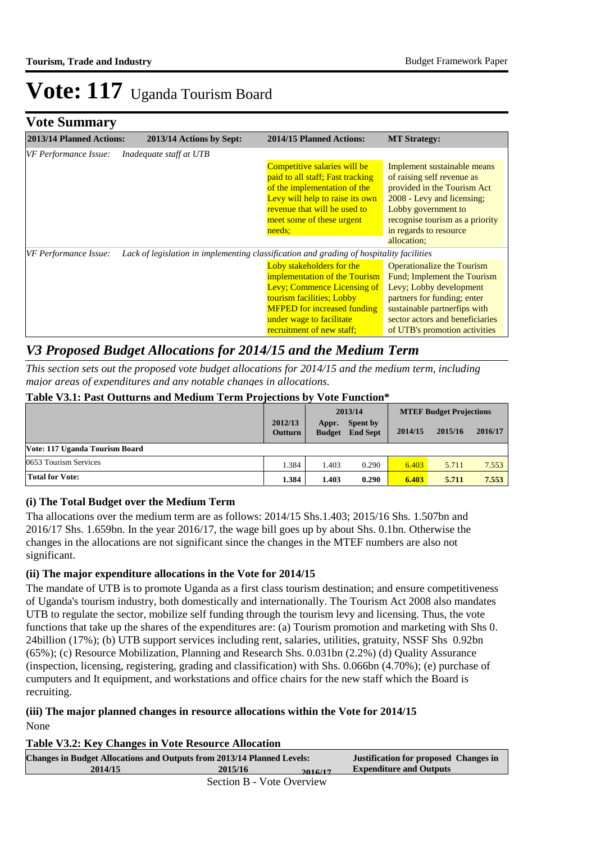## **Vote Summary**

| 2013/14 Planned Actions: | 2013/14 Actions by Sept:                                                                 | <b>2014/15 Planned Actions:</b>    | <b>MT Strategy:</b>               |
|--------------------------|------------------------------------------------------------------------------------------|------------------------------------|-----------------------------------|
| VF Performance Issue:    | Inadequate staff at UTB                                                                  |                                    |                                   |
|                          |                                                                                          | Competitive salaries will be       | Implement sustainable means       |
|                          |                                                                                          | paid to all staff; Fast tracking   | of raising self revenue as        |
|                          |                                                                                          | of the implementation of the       | provided in the Tourism Act       |
|                          |                                                                                          | Levy will help to raise its own    | 2008 - Levy and licensing;        |
|                          |                                                                                          | revenue that will be used to       | Lobby government to               |
|                          |                                                                                          | meet some of these urgent          | recognise tourism as a priority   |
|                          |                                                                                          | needs:                             | in regards to resource            |
|                          |                                                                                          |                                    | allocation;                       |
| VF Performance Issue:    | Lack of legislation in implementing classification and grading of hospitality facilities |                                    |                                   |
|                          |                                                                                          | Loby stakeholders for the          | <b>Operationalize the Tourism</b> |
|                          |                                                                                          | implementation of the Tourism      | Fund; Implement the Tourism       |
|                          |                                                                                          | Levy: Commence Licensing of        | Levy; Lobby development           |
|                          |                                                                                          | tourism facilities; Lobby          | partners for funding; enter       |
|                          |                                                                                          | <b>MFPED</b> for increased funding | sustainable partnerfips with      |
|                          |                                                                                          | under wage to facilitate           | sector actors and beneficiaries   |
|                          |                                                                                          | recruitment of new staff;          | of UTB's promotion activities     |

## *V3 Proposed Budget Allocations for 2014/15 and the Medium Term*

*This section sets out the proposed vote budget allocations for 2014/15 and the medium term, including major areas of expenditures and any notable changes in allocations.* 

#### **Table V3.1: Past Outturns and Medium Term Projections by Vote Function\***

|                                | 2013/14                   |                        | <b>MTEF Budget Projections</b> |         |         |         |
|--------------------------------|---------------------------|------------------------|--------------------------------|---------|---------|---------|
|                                | 2012/13<br><b>Outturn</b> | Appr.<br><b>Budget</b> | Spent by<br><b>End Sept</b>    | 2014/15 | 2015/16 | 2016/17 |
| Vote: 117 Uganda Tourism Board |                           |                        |                                |         |         |         |
| 0653 Tourism Services          | 1.384                     | 1.403                  | 0.290                          | 6.403   | 5.711   | 7.553   |
| Total for Vote:                | 1.384                     | 1.403                  | 0.290                          | 6.403   | 5.711   | 7.553   |

### **(i) The Total Budget over the Medium Term**

Tha allocations over the medium term are as follows: 2014/15 Shs.1.403; 2015/16 Shs. 1.507bn and 2016/17 Shs. 1.659bn. In the year 2016/17, the wage bill goes up by about Shs. 0.1bn. Otherwise the changes in the allocations are not significant since the changes in the MTEF numbers are also not significant.

#### **(ii) The major expenditure allocations in the Vote for 2014/15**

The mandate of UTB is to promote Uganda as a first class tourism destination; and ensure competitiveness of Uganda's tourism industry, both domestically and internationally. The Tourism Act 2008 also mandates UTB to regulate the sector, mobilize self funding through the tourism levy and licensing. Thus, the vote functions that take up the shares of the expenditures are: (a) Tourism promotion and marketing with Shs 0. 24billion (17%); (b) UTB support services including rent, salaries, utilities, gratuity, NSSF Shs 0.92bn (65%); (c) Resource Mobilization, Planning and Research Shs. 0.031bn (2.2%) (d) Quality Assurance (inspection, licensing, registering, grading and classification) with Shs. 0.066bn (4.70%); (e) purchase of cumputers and It equipment, and workstations and office chairs for the new staff which the Board is recruiting.

#### **(iii) The major planned changes in resource allocations within the Vote for 2014/15** None

#### **Table V3.2: Key Changes in Vote Resource Allocation**

| <b>Changes in Budget Allocations and Outputs from 2013/14 Planned Levels:</b> |                           |         | Justification for proposed Changes in |
|-------------------------------------------------------------------------------|---------------------------|---------|---------------------------------------|
| 2014/15                                                                       | 2015/16                   | 2016/17 | <b>Expenditure and Outputs</b>        |
|                                                                               | Section B - Vote Overview |         |                                       |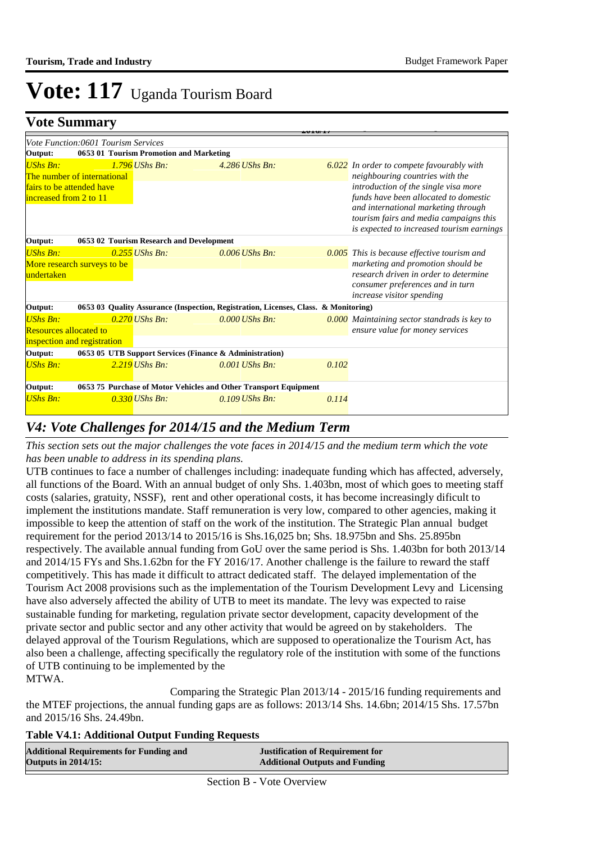**Justification for proposed Changes in** 

# $V$ **ote: 117** Uganda Tourism Board

## **Vote Summary**

| <u>v vic Dunningi y</u>                             |                                         |                  | 201011                                                                              |       |                                                                                                                                                                                                             |
|-----------------------------------------------------|-----------------------------------------|------------------|-------------------------------------------------------------------------------------|-------|-------------------------------------------------------------------------------------------------------------------------------------------------------------------------------------------------------------|
|                                                     | Vote Function:0601 Tourism Services     |                  |                                                                                     |       |                                                                                                                                                                                                             |
| Output:                                             | 0653 01 Tourism Promotion and Marketing |                  |                                                                                     |       |                                                                                                                                                                                                             |
| <b>UShs Bn:</b>                                     | The number of international             | $1.796$ UShs Bn: | 4.286 UShs Bn:                                                                      |       | <b>6.022</b> In order to compete favourably with<br>neighbouring countries with the                                                                                                                         |
| fairs to be attended have<br>increased from 2 to 11 |                                         |                  |                                                                                     |       | introduction of the single visa more<br>funds have been allocated to domestic<br>and international marketing through<br>tourism fairs and media campaigns this<br>is expected to increased tourism earnings |
| Output:                                             |                                         |                  | 0653 02 Tourism Research and Development                                            |       |                                                                                                                                                                                                             |
| <b>UShs Bn:</b>                                     |                                         | $0.255$ UShs Bn: | $0.006$ UShs Bn:                                                                    |       | $0.005$ This is because effective tourism and                                                                                                                                                               |
|                                                     | More research surveys to be             |                  |                                                                                     |       | marketing and promotion should be                                                                                                                                                                           |
| undertaken                                          |                                         |                  |                                                                                     |       | research driven in order to determine<br>consumer preferences and in turn<br><i>increase visitor spending</i>                                                                                               |
| Output:                                             |                                         |                  | 0653 03 Quality Assurance (Inspection, Registration, Licenses, Class. & Monitoring) |       |                                                                                                                                                                                                             |
| <b>UShs Bn:</b>                                     |                                         | $0.270$ UShs Bn: | $0.000$ UShs Bn:                                                                    |       | 0.000 Maintaining sector standrads is key to                                                                                                                                                                |
| <b>Resources allocated to</b>                       |                                         |                  |                                                                                     |       | ensure value for money services                                                                                                                                                                             |
|                                                     | inspection and registration             |                  |                                                                                     |       |                                                                                                                                                                                                             |
| Output:                                             |                                         |                  | 0653 05 UTB Support Services (Finance & Administration)                             |       |                                                                                                                                                                                                             |
| <b>UShs Bn:</b>                                     |                                         | $2.219$ UShs Bn: | $0.001$ UShs Bn:                                                                    | 0.102 |                                                                                                                                                                                                             |
| Output:                                             |                                         |                  | 0653 75 Purchase of Motor Vehicles and Other Transport Equipment                    |       |                                                                                                                                                                                                             |
| <b>UShs Bn:</b>                                     |                                         | $0.330$ UShs Bn: | $0.109$ UShs Bn:                                                                    | 0.114 |                                                                                                                                                                                                             |

# *V4: Vote Challenges for 2014/15 and the Medium Term*

*This section sets out the major challenges the vote faces in 2014/15 and the medium term which the vote has been unable to address in its spending plans.*

UTB continues to face a number of challenges including: inadequate funding which has affected, adversely, all functions of the Board. With an annual budget of only Shs. 1.403bn, most of which goes to meeting staff costs (salaries, gratuity, NSSF), rent and other operational costs, it has become increasingly dificult to implement the institutions mandate. Staff remuneration is very low, compared to other agencies, making it impossible to keep the attention of staff on the work of the institution. The Strategic Plan annual budget requirement for the period 2013/14 to 2015/16 is Shs.16,025 bn; Shs. 18.975bn and Shs. 25.895bn respectively. The available annual funding from GoU over the same period is Shs. 1.403bn for both 2013/14 and 2014/15 FYs and Shs.1.62bn for the FY 2016/17. Another challenge is the failure to reward the staff competitively. This has made it difficult to attract dedicated staff. The delayed implementation of the Tourism Act 2008 provisions such as the implementation of the Tourism Development Levy and Licensing have also adversely affected the ability of UTB to meet its mandate. The levy was expected to raise sustainable funding for marketing, regulation private sector development, capacity development of the private sector and public sector and any other activity that would be agreed on by stakeholders. The delayed approval of the Tourism Regulations, which are supposed to operationalize the Tourism Act, has also been a challenge, affecting specifically the regulatory role of the institution with some of the functions of UTB continuing to be implemented by the MTWA.

 Comparing the Strategic Plan 2013/14 - 2015/16 funding requirements and the MTEF projections, the annual funding gaps are as follows: 2013/14 Shs. 14.6bn; 2014/15 Shs. 17.57bn and 2015/16 Shs. 24.49bn.

#### **Table V4.1: Additional Output Funding Requests**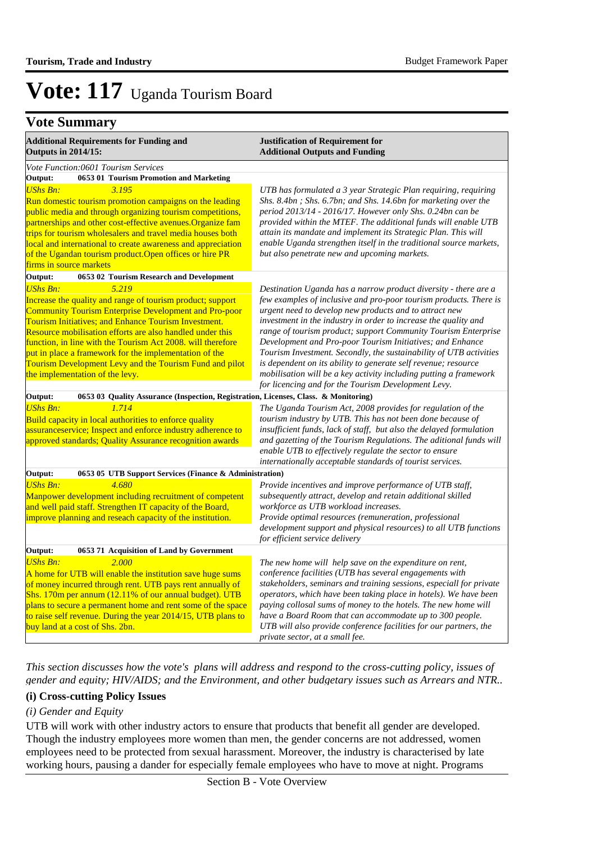# **Vote Summary**

| <b>Additional Requirements for Funding and</b><br><b>Outputs in 2014/15:</b>                                                                                                                                                                                                                                                                                                                                                                                                                       | <b>Justification of Requirement for</b><br><b>Additional Outputs and Funding</b>                                                                                                                                                                                                                                                                                                                                                                                                                                                                                                                                                                                     |
|----------------------------------------------------------------------------------------------------------------------------------------------------------------------------------------------------------------------------------------------------------------------------------------------------------------------------------------------------------------------------------------------------------------------------------------------------------------------------------------------------|----------------------------------------------------------------------------------------------------------------------------------------------------------------------------------------------------------------------------------------------------------------------------------------------------------------------------------------------------------------------------------------------------------------------------------------------------------------------------------------------------------------------------------------------------------------------------------------------------------------------------------------------------------------------|
| Vote Function:0601 Tourism Services                                                                                                                                                                                                                                                                                                                                                                                                                                                                |                                                                                                                                                                                                                                                                                                                                                                                                                                                                                                                                                                                                                                                                      |
| Output:<br>0653 01 Tourism Promotion and Marketing                                                                                                                                                                                                                                                                                                                                                                                                                                                 |                                                                                                                                                                                                                                                                                                                                                                                                                                                                                                                                                                                                                                                                      |
| 3.195<br><b>UShs Bn:</b><br>Run domestic tourism promotion campaigns on the leading<br>public media and through organizing tourism competitions,<br>partnerships and other cost-effective avenues. Organize fam<br>trips for tourism wholesalers and travel media houses both<br>local and international to create awareness and appreciation<br>of the Ugandan tourism product. Open offices or hire PR<br>firms in source markets                                                                | UTB has formulated a 3 year Strategic Plan requiring, requiring<br>Shs. 8.4bn ; Shs. 6.7bn; and Shs. 14.6bn for marketing over the<br>period 2013/14 - 2016/17. However only Shs. 0.24bn can be<br>provided within the MTEF. The additional funds will enable UTB<br>attain its mandate and implement its Strategic Plan. This will<br>enable Uganda strengthen itself in the traditional source markets,<br>but also penetrate new and upcoming markets.                                                                                                                                                                                                            |
| Output:<br>0653 02 Tourism Research and Development                                                                                                                                                                                                                                                                                                                                                                                                                                                |                                                                                                                                                                                                                                                                                                                                                                                                                                                                                                                                                                                                                                                                      |
| <b>UShs Bn:</b><br>5.219<br>Increase the quality and range of tourism product; support<br><b>Community Tourism Enterprise Development and Pro-poor</b><br>Tourism Initiatives; and Enhance Tourism Investment.<br>Resource mobilisation efforts are also handled under this<br>function, in line with the Tourism Act 2008, will therefore<br>put in place a framework for the implementation of the<br>Tourism Development Levy and the Tourism Fund and pilot<br>the implementation of the levy. | Destination Uganda has a narrow product diversity - there are a<br>few examples of inclusive and pro-poor tourism products. There is<br>urgent need to develop new products and to attract new<br>investment in the industry in order to increase the quality and<br>range of tourism product; support Community Tourism Enterprise<br>Development and Pro-poor Tourism Initiatives; and Enhance<br>Tourism Investment. Secondly, the sustainability of UTB activities<br>is dependent on its ability to generate self revenue; resource<br>mobilisation will be a key activity including putting a framework<br>for licencing and for the Tourism Development Levy. |
| 0653 03 Quality Assurance (Inspection, Registration, Licenses, Class. & Monitoring)<br>Output:                                                                                                                                                                                                                                                                                                                                                                                                     |                                                                                                                                                                                                                                                                                                                                                                                                                                                                                                                                                                                                                                                                      |
| <b>UShs Bn:</b><br>1.714<br>Build capacity in local authorities to enforce quality<br>assuranceservice; Inspect and enforce industry adherence to<br>approved standards; Quality Assurance recognition awards                                                                                                                                                                                                                                                                                      | The Uganda Tourism Act, 2008 provides for regulation of the<br>tourism industry by UTB. This has not been done because of<br>insufficient funds, lack of staff, but also the delayed formulation<br>and gazetting of the Tourism Regulations. The aditional funds will<br>enable UTB to effectively regulate the sector to ensure<br>internationally acceptable standards of tourist services.                                                                                                                                                                                                                                                                       |
| Output:<br>0653 05 UTB Support Services (Finance & Administration)                                                                                                                                                                                                                                                                                                                                                                                                                                 |                                                                                                                                                                                                                                                                                                                                                                                                                                                                                                                                                                                                                                                                      |
| <b>UShs Bn:</b><br>4.680<br>Manpower development including recruitment of competent<br>and well paid staff. Strengthen IT capacity of the Board,<br>improve planning and reseach capacity of the institution.                                                                                                                                                                                                                                                                                      | Provide incentives and improve performance of UTB staff,<br>subsequently attract, develop and retain additional skilled<br>workforce as UTB workload increases.<br>Provide optimal resources (remuneration, professional<br>development support and physical resources) to all UTB functions<br>for efficient service delivery                                                                                                                                                                                                                                                                                                                                       |
| Output:<br>0653 71 Acquisition of Land by Government                                                                                                                                                                                                                                                                                                                                                                                                                                               |                                                                                                                                                                                                                                                                                                                                                                                                                                                                                                                                                                                                                                                                      |
| 2.000<br><b>UShs Bn:</b><br>A home for UTB will enable the institution save huge sums<br>of money incurred through rent. UTB pays rent annually of<br>Shs. 170m per annum (12.11% of our annual budget). UTB<br>plans to secure a permanent home and rent some of the space<br>to raise self revenue. During the year 2014/15, UTB plans to<br>buy land at a cost of Shs. 2bn.                                                                                                                     | The new home will help save on the expenditure on rent,<br>conference facilities (UTB has several engagements with<br>stakeholders, seminars and training sessions, especiall for private<br>operators, which have been taking place in hotels). We have been<br>paying collosal sums of money to the hotels. The new home will<br>have a Board Room that can accommodate up to 300 people.<br>UTB will also provide conference facilities for our partners, the<br>private sector, at a small fee.                                                                                                                                                                  |

*This section discusses how the vote's plans will address and respond to the cross-cutting policy, issues of gender and equity; HIV/AIDS; and the Environment, and other budgetary issues such as Arrears and NTR..* 

#### **(i) Cross-cutting Policy Issues**

### *(i) Gender and Equity*

UTB will work with other industry actors to ensure that products that benefit all gender are developed. Though the industry employees more women than men, the gender concerns are not addressed, women employees need to be protected from sexual harassment. Moreover, the industry is characterised by late working hours, pausing a dander for especially female employees who have to move at night. Programs